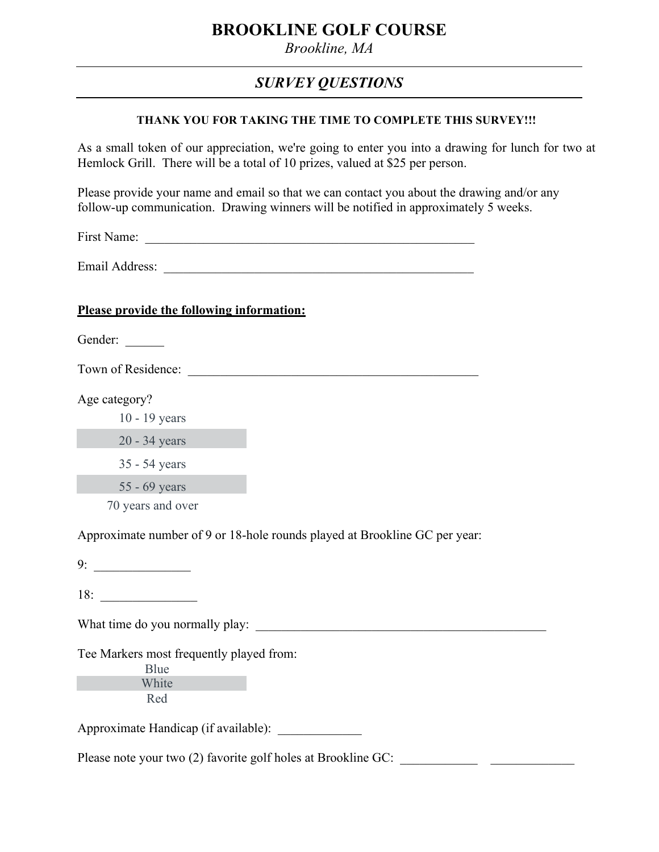# **BROOKLINE GOLF COURSE**

*Brookline, MA*

# *SURVEY QUESTIONS*

#### **THANK YOU FOR TAKING THE TIME TO COMPLETE THIS SURVEY!!!**

As a small token of our appreciation, we're going to enter you into a drawing for lunch for two at Hemlock Grill. There will be a total of 10 prizes, valued at \$25 per person.

Please provide your name and email so that we can contact you about the drawing and/or any follow-up communication. Drawing winners will be notified in approximately 5 weeks.

First Name:

Email Address:

#### **Please provide the following information:**

Gender:

Town of Residence:

Age category?

10 - 19 years

20 - 34 years

35 - 54 years

55 - 69 years

70 years and over

Approximate number of 9 or 18-hole rounds played at Brookline GC per year:

9: \_\_\_\_\_\_\_\_\_\_\_\_\_\_\_

18: \_\_\_\_\_\_\_\_\_\_\_\_\_\_\_

What time do you normally play:

Tee Markers most frequently played from:

Blue White Red

Approximate Handicap (if available):

Please note your two (2) favorite golf holes at Brookline GC: \_\_\_\_\_\_\_\_\_\_\_\_\_\_\_\_\_\_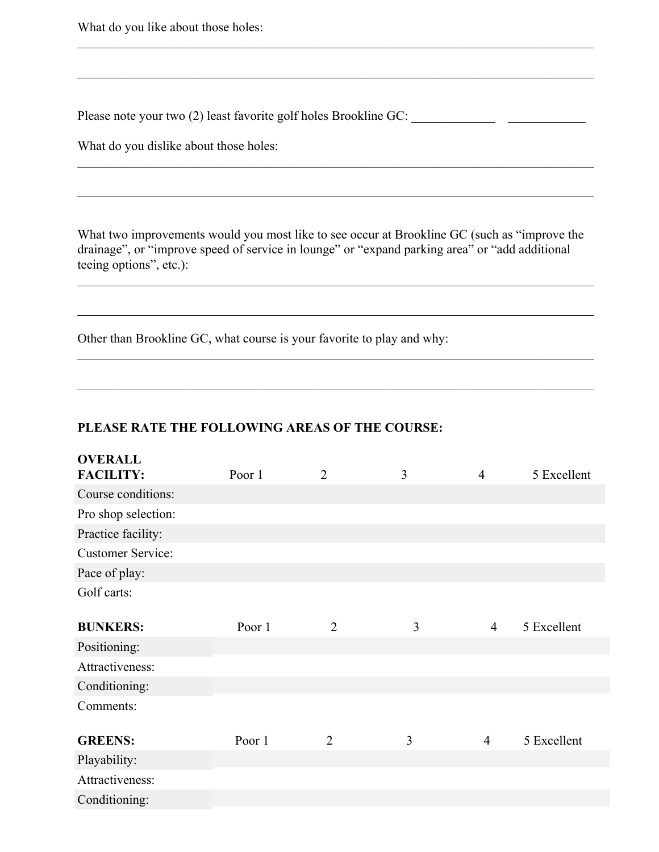What do you like about those holes:

Please note your two (2) least favorite golf holes Brookline GC: \_\_\_\_\_\_\_\_\_\_\_\_\_\_\_

What do you dislike about those holes:

What two improvements would you most like to see occur at Brookline GC (such as "improve the drainage", or "improve speed of service in lounge" or "expand parking area" or "add additional teeing options", etc.):

 $\mathcal{L}_\mathcal{L} = \{ \mathcal{L}_\mathcal{L} = \{ \mathcal{L}_\mathcal{L} = \{ \mathcal{L}_\mathcal{L} = \{ \mathcal{L}_\mathcal{L} = \{ \mathcal{L}_\mathcal{L} = \{ \mathcal{L}_\mathcal{L} = \{ \mathcal{L}_\mathcal{L} = \{ \mathcal{L}_\mathcal{L} = \{ \mathcal{L}_\mathcal{L} = \{ \mathcal{L}_\mathcal{L} = \{ \mathcal{L}_\mathcal{L} = \{ \mathcal{L}_\mathcal{L} = \{ \mathcal{L}_\mathcal{L} = \{ \mathcal{L}_\mathcal{$ 

 $\mathcal{L}_\mathcal{L} = \{ \mathcal{L}_\mathcal{L} = \{ \mathcal{L}_\mathcal{L} = \{ \mathcal{L}_\mathcal{L} = \{ \mathcal{L}_\mathcal{L} = \{ \mathcal{L}_\mathcal{L} = \{ \mathcal{L}_\mathcal{L} = \{ \mathcal{L}_\mathcal{L} = \{ \mathcal{L}_\mathcal{L} = \{ \mathcal{L}_\mathcal{L} = \{ \mathcal{L}_\mathcal{L} = \{ \mathcal{L}_\mathcal{L} = \{ \mathcal{L}_\mathcal{L} = \{ \mathcal{L}_\mathcal{L} = \{ \mathcal{L}_\mathcal{$ 

 $\mathcal{L}_\mathcal{L} = \{ \mathcal{L}_\mathcal{L} = \{ \mathcal{L}_\mathcal{L} = \{ \mathcal{L}_\mathcal{L} = \{ \mathcal{L}_\mathcal{L} = \{ \mathcal{L}_\mathcal{L} = \{ \mathcal{L}_\mathcal{L} = \{ \mathcal{L}_\mathcal{L} = \{ \mathcal{L}_\mathcal{L} = \{ \mathcal{L}_\mathcal{L} = \{ \mathcal{L}_\mathcal{L} = \{ \mathcal{L}_\mathcal{L} = \{ \mathcal{L}_\mathcal{L} = \{ \mathcal{L}_\mathcal{L} = \{ \mathcal{L}_\mathcal{$ 

 $\mathcal{L}_\mathcal{L} = \{ \mathcal{L}_\mathcal{L} = \{ \mathcal{L}_\mathcal{L} = \{ \mathcal{L}_\mathcal{L} = \{ \mathcal{L}_\mathcal{L} = \{ \mathcal{L}_\mathcal{L} = \{ \mathcal{L}_\mathcal{L} = \{ \mathcal{L}_\mathcal{L} = \{ \mathcal{L}_\mathcal{L} = \{ \mathcal{L}_\mathcal{L} = \{ \mathcal{L}_\mathcal{L} = \{ \mathcal{L}_\mathcal{L} = \{ \mathcal{L}_\mathcal{L} = \{ \mathcal{L}_\mathcal{L} = \{ \mathcal{L}_\mathcal{$ 

 $\mathcal{L}_\mathcal{L} = \{ \mathcal{L}_\mathcal{L} = \{ \mathcal{L}_\mathcal{L} = \{ \mathcal{L}_\mathcal{L} = \{ \mathcal{L}_\mathcal{L} = \{ \mathcal{L}_\mathcal{L} = \{ \mathcal{L}_\mathcal{L} = \{ \mathcal{L}_\mathcal{L} = \{ \mathcal{L}_\mathcal{L} = \{ \mathcal{L}_\mathcal{L} = \{ \mathcal{L}_\mathcal{L} = \{ \mathcal{L}_\mathcal{L} = \{ \mathcal{L}_\mathcal{L} = \{ \mathcal{L}_\mathcal{L} = \{ \mathcal{L}_\mathcal{$ 

 $\mathcal{L}_\mathcal{L} = \{ \mathcal{L}_\mathcal{L} = \{ \mathcal{L}_\mathcal{L} = \{ \mathcal{L}_\mathcal{L} = \{ \mathcal{L}_\mathcal{L} = \{ \mathcal{L}_\mathcal{L} = \{ \mathcal{L}_\mathcal{L} = \{ \mathcal{L}_\mathcal{L} = \{ \mathcal{L}_\mathcal{L} = \{ \mathcal{L}_\mathcal{L} = \{ \mathcal{L}_\mathcal{L} = \{ \mathcal{L}_\mathcal{L} = \{ \mathcal{L}_\mathcal{L} = \{ \mathcal{L}_\mathcal{L} = \{ \mathcal{L}_\mathcal{$ 

\_\_\_\_\_\_\_\_\_\_\_\_\_\_\_\_\_\_\_\_\_\_\_\_\_\_\_\_\_\_\_\_\_\_\_\_\_\_\_\_\_\_\_\_\_\_\_\_\_\_\_\_\_\_\_\_\_\_\_\_\_\_\_\_\_\_\_\_\_\_\_\_\_\_\_\_\_\_\_\_

\_\_\_\_\_\_\_\_\_\_\_\_\_\_\_\_\_\_\_\_\_\_\_\_\_\_\_\_\_\_\_\_\_\_\_\_\_\_\_\_\_\_\_\_\_\_\_\_\_\_\_\_\_\_\_\_\_\_\_\_\_\_\_\_\_\_\_\_\_\_\_\_\_\_\_\_\_\_\_\_

Other than Brookline GC, what course is your favorite to play and why:

### **PLEASE RATE THE FOLLOWING AREAS OF THE COURSE:**

| <b>OVERALL</b><br><b>FACILITY:</b> | Poor 1 | $\overline{2}$ | 3 | $\overline{4}$ | 5 Excellent |
|------------------------------------|--------|----------------|---|----------------|-------------|
|                                    |        |                |   |                |             |
| Course conditions:                 |        |                |   |                |             |
| Pro shop selection:                |        |                |   |                |             |
| Practice facility:                 |        |                |   |                |             |
| <b>Customer Service:</b>           |        |                |   |                |             |
| Pace of play:                      |        |                |   |                |             |
| Golf carts:                        |        |                |   |                |             |
| <b>BUNKERS:</b>                    | Poor 1 | $\overline{2}$ | 3 | $\overline{4}$ | 5 Excellent |
| Positioning:                       |        |                |   |                |             |
| Attractiveness:                    |        |                |   |                |             |
| Conditioning:                      |        |                |   |                |             |
| Comments:                          |        |                |   |                |             |
| <b>GREENS:</b>                     | Poor 1 | $\overline{2}$ | 3 | $\overline{4}$ | 5 Excellent |
| Playability:                       |        |                |   |                |             |
| Attractiveness:                    |        |                |   |                |             |
| Conditioning:                      |        |                |   |                |             |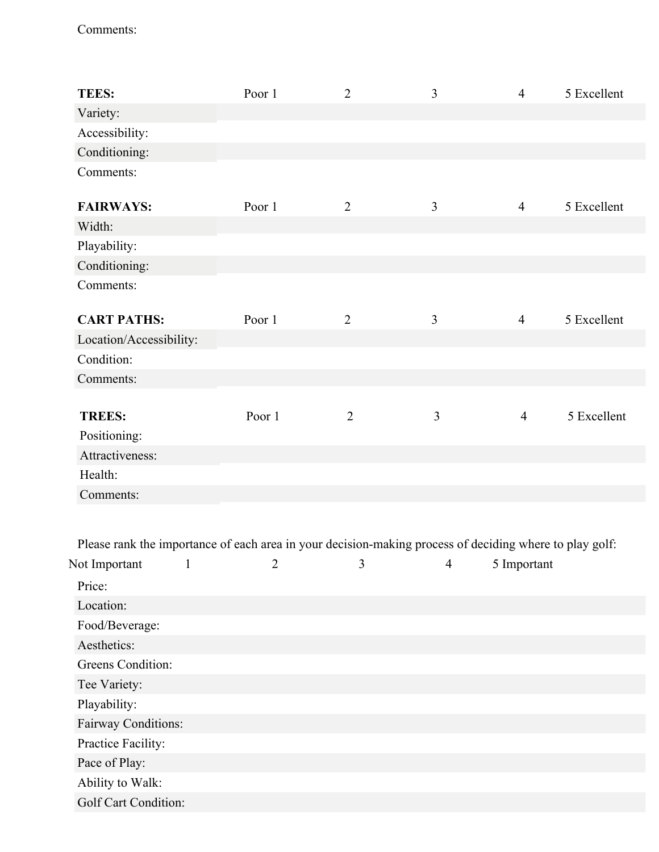## Comments:

| <b>TEES:</b>            | Poor 1 | $\overline{2}$ | 3              | $\overline{4}$ | 5 Excellent |
|-------------------------|--------|----------------|----------------|----------------|-------------|
| Variety:                |        |                |                |                |             |
| Accessibility:          |        |                |                |                |             |
| Conditioning:           |        |                |                |                |             |
| Comments:               |        |                |                |                |             |
| <b>FAIRWAYS:</b>        | Poor 1 | $\overline{2}$ | 3              | $\overline{4}$ | 5 Excellent |
| Width:                  |        |                |                |                |             |
| Playability:            |        |                |                |                |             |
| Conditioning:           |        |                |                |                |             |
| Comments:               |        |                |                |                |             |
| <b>CART PATHS:</b>      | Poor 1 | $\overline{2}$ | $\overline{3}$ | $\overline{4}$ | 5 Excellent |
| Location/Accessibility: |        |                |                |                |             |
| Condition:              |        |                |                |                |             |
| Comments:               |        |                |                |                |             |
| <b>TREES:</b>           | Poor 1 | $\overline{2}$ | $\overline{3}$ | $\overline{4}$ | 5 Excellent |
| Positioning:            |        |                |                |                |             |
| Attractiveness:         |        |                |                |                |             |
| Health:                 |        |                |                |                |             |
| Comments:               |        |                |                |                |             |
|                         |        |                |                |                |             |

Please rank the importance of each area in your decision-making process of deciding where to play golf:

| Not Important        | $\overline{2}$ | 3 | 4 | 5 Important |
|----------------------|----------------|---|---|-------------|
| Price:               |                |   |   |             |
| Location:            |                |   |   |             |
| Food/Beverage:       |                |   |   |             |
| Aesthetics:          |                |   |   |             |
| Greens Condition:    |                |   |   |             |
| Tee Variety:         |                |   |   |             |
| Playability:         |                |   |   |             |
| Fairway Conditions:  |                |   |   |             |
| Practice Facility:   |                |   |   |             |
| Pace of Play:        |                |   |   |             |
| Ability to Walk:     |                |   |   |             |
| Golf Cart Condition: |                |   |   |             |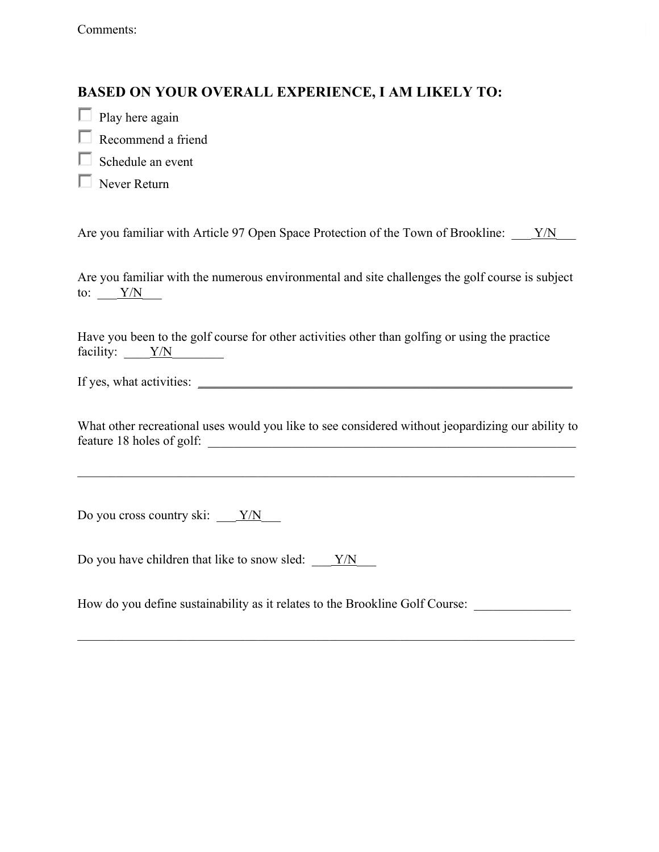Comments:

## **BASED ON YOUR OVERALL EXPERIENCE, I AM LIKELY TO:**

- $\Box$  Play here again
- Recommend a friend
- $\Box$  Schedule an event
- Never Return

Are you familiar with Article 97 Open Space Protection of the Town of Brookline:  $Y/N$ 

Are you familiar with the numerous environmental and site challenges the golf course is subject to:  $\frac{Y/N}{Y}$ 

Have you been to the golf course for other activities other than golfing or using the practice facility:  $\frac{Y/N}{N}$ 

If yes, what activities: \_\_\_\_\_\_\_\_\_\_\_\_\_\_\_\_\_\_\_\_\_\_\_\_\_\_\_\_\_\_\_\_\_\_\_\_\_\_\_\_\_\_\_\_\_\_\_\_\_\_\_\_\_\_\_\_\_\_

What other recreational uses would you like to see considered without jeopardizing our ability to feature 18 holes of golf:

 $\mathcal{L}_\mathcal{L} = \{ \mathcal{L}_\mathcal{L} = \{ \mathcal{L}_\mathcal{L} = \{ \mathcal{L}_\mathcal{L} = \{ \mathcal{L}_\mathcal{L} = \{ \mathcal{L}_\mathcal{L} = \{ \mathcal{L}_\mathcal{L} = \{ \mathcal{L}_\mathcal{L} = \{ \mathcal{L}_\mathcal{L} = \{ \mathcal{L}_\mathcal{L} = \{ \mathcal{L}_\mathcal{L} = \{ \mathcal{L}_\mathcal{L} = \{ \mathcal{L}_\mathcal{L} = \{ \mathcal{L}_\mathcal{L} = \{ \mathcal{L}_\mathcal{$ 

Do you cross country ski:  $\frac{Y/N}{Y}$ 

Do you have children that like to snow sled:  $\frac{Y/N}{Y}$ 

How do you define sustainability as it relates to the Brookline Golf Course: \_\_\_\_\_\_\_\_\_\_\_\_\_\_\_\_\_\_\_\_\_\_\_\_\_\_\_\_\_\_\_\_\_

 $\mathcal{L}_\mathcal{L} = \{ \mathcal{L}_\mathcal{L} = \{ \mathcal{L}_\mathcal{L} = \{ \mathcal{L}_\mathcal{L} = \{ \mathcal{L}_\mathcal{L} = \{ \mathcal{L}_\mathcal{L} = \{ \mathcal{L}_\mathcal{L} = \{ \mathcal{L}_\mathcal{L} = \{ \mathcal{L}_\mathcal{L} = \{ \mathcal{L}_\mathcal{L} = \{ \mathcal{L}_\mathcal{L} = \{ \mathcal{L}_\mathcal{L} = \{ \mathcal{L}_\mathcal{L} = \{ \mathcal{L}_\mathcal{L} = \{ \mathcal{L}_\mathcal{$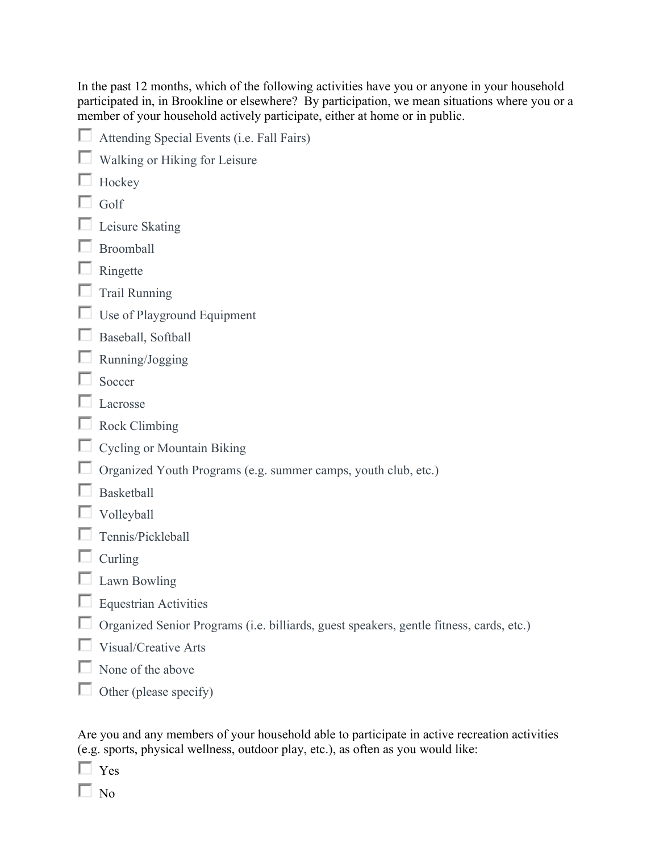In the past 12 months, which of the following activities have you or anyone in your household participated in, in Brookline or elsewhere? By participation, we mean situations where you or a member of your household actively participate, either at home or in public.

| Attending Special Events (i.e. Fall Fairs)                                              |
|-----------------------------------------------------------------------------------------|
| Walking or Hiking for Leisure                                                           |
| Hockey                                                                                  |
| Golf                                                                                    |
| Leisure Skating                                                                         |
| Broomball                                                                               |
| Ringette                                                                                |
| <b>Trail Running</b>                                                                    |
| Use of Playground Equipment                                                             |
| Baseball, Softball                                                                      |
| Running/Jogging                                                                         |
| Soccer                                                                                  |
| Lacrosse                                                                                |
| Rock Climbing                                                                           |
| <b>Cycling or Mountain Biking</b>                                                       |
| Organized Youth Programs (e.g. summer camps, youth club, etc.)                          |
| <b>Basketball</b>                                                                       |
| Volleyball                                                                              |
| Tennis/Pickleball                                                                       |
| Curling                                                                                 |
| Lawn Bowling                                                                            |
| <b>Equestrian Activities</b>                                                            |
| Organized Senior Programs (i.e. billiards, guest speakers, gentle fitness, cards, etc.) |
| Visual/Creative Arts                                                                    |
| None of the above                                                                       |
| Other (please specify)                                                                  |
|                                                                                         |

Are you and any members of your household able to participate in active recreation activities (e.g. sports, physical wellness, outdoor play, etc.), as often as you would like:

 $\Box$  Yes

 $\Box$  No